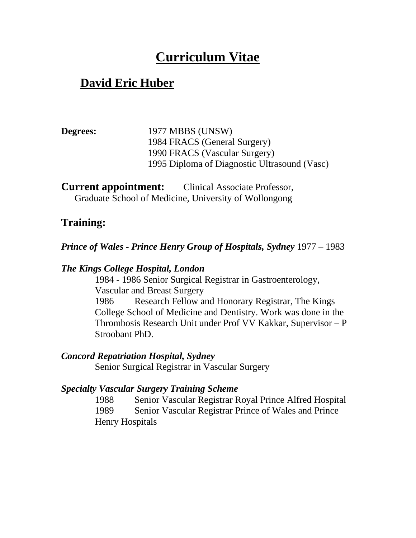# **Curriculum Vitae**

## **David Eric Huber**

**Degrees:** 1977 MBBS (UNSW) 1984 FRACS (General Surgery) 1990 FRACS (Vascular Surgery) 1995 Diploma of Diagnostic Ultrasound (Vasc)

**Current appointment:** Clinical Associate Professor, Graduate School of Medicine, University of Wollongong

### **Training:**

### *Prince of Wales - Prince Henry Group of Hospitals, Sydney* 1977 – 1983

#### *The Kings College Hospital, London*

1984 - 1986 Senior Surgical Registrar in Gastroenterology, Vascular and Breast Surgery 1986 Research Fellow and Honorary Registrar, The Kings College School of Medicine and Dentistry. Work was done in the Thrombosis Research Unit under Prof VV Kakkar, Supervisor – P Stroobant PhD.

### *Concord Repatriation Hospital, Sydney*

Senior Surgical Registrar in Vascular Surgery

#### *Specialty Vascular Surgery Training Scheme*

1988 Senior Vascular Registrar Royal Prince Alfred Hospital 1989 Senior Vascular Registrar Prince of Wales and Prince Henry Hospitals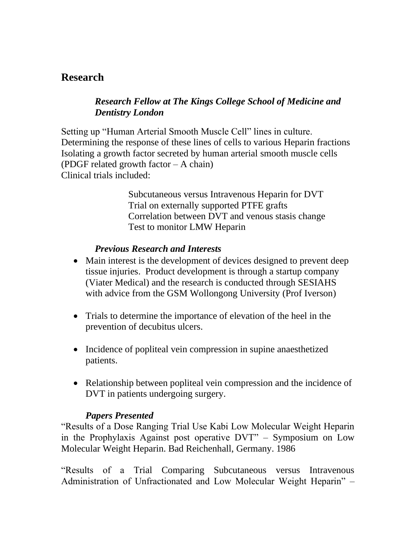### **Research**

### *Research Fellow at The Kings College School of Medicine and Dentistry London*

Setting up "Human Arterial Smooth Muscle Cell" lines in culture. Determining the response of these lines of cells to various Heparin fractions Isolating a growth factor secreted by human arterial smooth muscle cells (PDGF related growth factor – A chain) Clinical trials included:

> Subcutaneous versus Intravenous Heparin for DVT Trial on externally supported PTFE grafts Correlation between DVT and venous stasis change Test to monitor LMW Heparin

### *Previous Research and Interests*

- Main interest is the development of devices designed to prevent deep tissue injuries. Product development is through a startup company (Viater Medical) and the research is conducted through SESIAHS with advice from the GSM Wollongong University (Prof Iverson)
- Trials to determine the importance of elevation of the heel in the prevention of decubitus ulcers.
- Incidence of popliteal vein compression in supine anaesthetized patients.
- Relationship between popliteal vein compression and the incidence of DVT in patients undergoing surgery.

### *Papers Presented*

"Results of a Dose Ranging Trial Use Kabi Low Molecular Weight Heparin in the Prophylaxis Against post operative DVT" – Symposium on Low Molecular Weight Heparin. Bad Reichenhall, Germany. 1986

"Results of a Trial Comparing Subcutaneous versus Intravenous Administration of Unfractionated and Low Molecular Weight Heparin" –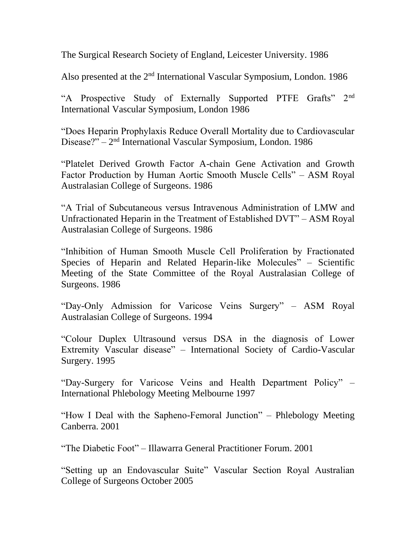The Surgical Research Society of England, Leicester University. 1986

Also presented at the  $2<sup>nd</sup>$  International Vascular Symposium, London. 1986

"A Prospective Study of Externally Supported PTFE Grafts" 2nd International Vascular Symposium, London 1986

"Does Heparin Prophylaxis Reduce Overall Mortality due to Cardiovascular Disease?" – 2<sup>nd</sup> International Vascular Symposium, London. 1986

"Platelet Derived Growth Factor A-chain Gene Activation and Growth Factor Production by Human Aortic Smooth Muscle Cells" – ASM Royal Australasian College of Surgeons. 1986

"A Trial of Subcutaneous versus Intravenous Administration of LMW and Unfractionated Heparin in the Treatment of Established DVT" – ASM Royal Australasian College of Surgeons. 1986

"Inhibition of Human Smooth Muscle Cell Proliferation by Fractionated Species of Heparin and Related Heparin-like Molecules" – Scientific Meeting of the State Committee of the Royal Australasian College of Surgeons. 1986

"Day-Only Admission for Varicose Veins Surgery" – ASM Royal Australasian College of Surgeons. 1994

"Colour Duplex Ultrasound versus DSA in the diagnosis of Lower Extremity Vascular disease" – International Society of Cardio-Vascular Surgery. 1995

"Day-Surgery for Varicose Veins and Health Department Policy" – International Phlebology Meeting Melbourne 1997

"How I Deal with the Sapheno-Femoral Junction" – Phlebology Meeting Canberra. 2001

"The Diabetic Foot" – Illawarra General Practitioner Forum. 2001

"Setting up an Endovascular Suite" Vascular Section Royal Australian College of Surgeons October 2005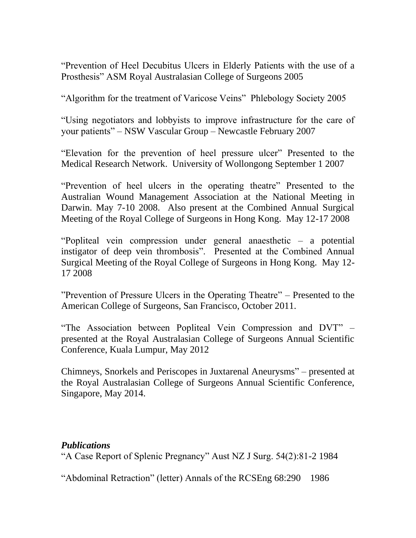"Prevention of Heel Decubitus Ulcers in Elderly Patients with the use of a Prosthesis" ASM Royal Australasian College of Surgeons 2005

"Algorithm for the treatment of Varicose Veins" Phlebology Society 2005

"Using negotiators and lobbyists to improve infrastructure for the care of your patients" – NSW Vascular Group – Newcastle February 2007

"Elevation for the prevention of heel pressure ulcer" Presented to the Medical Research Network. University of Wollongong September 1 2007

"Prevention of heel ulcers in the operating theatre" Presented to the Australian Wound Management Association at the National Meeting in Darwin. May 7-10 2008. Also present at the Combined Annual Surgical Meeting of the Royal College of Surgeons in Hong Kong. May 12-17 2008

"Popliteal vein compression under general anaesthetic – a potential instigator of deep vein thrombosis". Presented at the Combined Annual Surgical Meeting of the Royal College of Surgeons in Hong Kong. May 12- 17 2008

"Prevention of Pressure Ulcers in the Operating Theatre" – Presented to the American College of Surgeons, San Francisco, October 2011.

"The Association between Popliteal Vein Compression and DVT" – presented at the Royal Australasian College of Surgeons Annual Scientific Conference, Kuala Lumpur, May 2012

Chimneys, Snorkels and Periscopes in Juxtarenal Aneurysms" – presented at the Royal Australasian College of Surgeons Annual Scientific Conference, Singapore, May 2014.

### *Publications*

"A Case Report of Splenic Pregnancy" Aust NZ J Surg. 54(2):81-2 1984

"Abdominal Retraction" (letter) Annals of the RCSEng 68:290 1986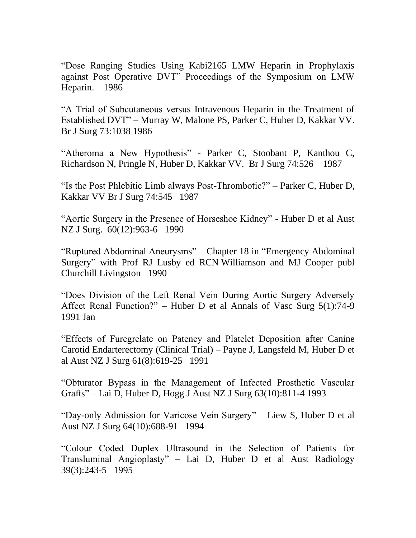"Dose Ranging Studies Using Kabi2165 LMW Heparin in Prophylaxis against Post Operative DVT" Proceedings of the Symposium on LMW Heparin. 1986

"A Trial of Subcutaneous versus Intravenous Heparin in the Treatment of Established DVT" – Murray W, Malone PS, Parker C, Huber D, Kakkar VV. Br J Surg 73:1038 1986

"Atheroma a New Hypothesis" - Parker C, Stoobant P, Kanthou C, Richardson N, Pringle N, Huber D, Kakkar VV. Br J Surg 74:526 1987

"Is the Post Phlebitic Limb always Post-Thrombotic?" – Parker C, Huber D, Kakkar VV Br J Surg 74:545 1987

"Aortic Surgery in the Presence of Horseshoe Kidney" - Huber D et al Aust NZ J Surg. 60(12):963-6 1990

"Ruptured Abdominal Aneurysms" – Chapter 18 in "Emergency Abdominal Surgery" with Prof RJ Lusby ed RCN Williamson and MJ Cooper publ Churchill Livingston 1990

"Does Division of the Left Renal Vein During Aortic Surgery Adversely Affect Renal Function?" – Huber D et al Annals of Vasc Surg 5(1):74-9 1991 Jan

"Effects of Furegrelate on Patency and Platelet Deposition after Canine Carotid Endarterectomy (Clinical Trial) – Payne J, Langsfeld M, Huber D et al Aust NZ J Surg 61(8):619-25 1991

"Obturator Bypass in the Management of Infected Prosthetic Vascular Grafts" – Lai D, Huber D, Hogg J Aust NZ J Surg 63(10):811-4 1993

"Day-only Admission for Varicose Vein Surgery" – Liew S, Huber D et al Aust NZ J Surg 64(10):688-91 1994

"Colour Coded Duplex Ultrasound in the Selection of Patients for Transluminal Angioplasty" – Lai D, Huber D et al Aust Radiology 39(3):243-5 1995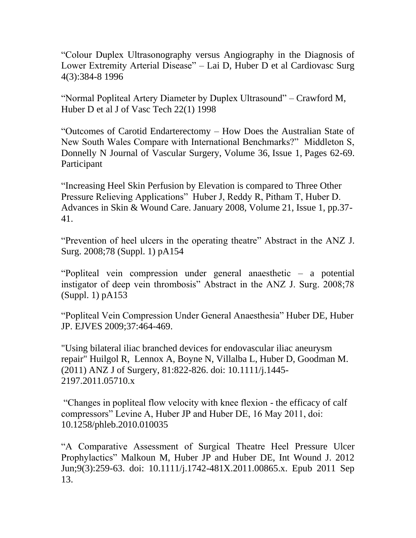"Colour Duplex Ultrasonography versus Angiography in the Diagnosis of Lower Extremity Arterial Disease" – Lai D, Huber D et al Cardiovasc Surg 4(3):384-8 1996

"Normal Popliteal Artery Diameter by Duplex Ultrasound" – Crawford M, Huber D et al J of Vasc Tech 22(1) 1998

"Outcomes of Carotid Endarterectomy – How Does the Australian State of New South Wales Compare with International Benchmarks?" Middleton S, Donnelly N Journal of Vascular Surgery, Volume 36, Issue 1, Pages 62-69. Participant

"Increasing Heel Skin Perfusion by Elevation is compared to Three Other Pressure Relieving Applications" Huber J, Reddy R, Pitham T, Huber D. Advances in Skin & Wound Care. January 2008, Volume 21, Issue 1, pp.37- 41.

"Prevention of heel ulcers in the operating theatre" Abstract in the ANZ J. Surg. 2008;78 (Suppl. 1) pA154

"Popliteal vein compression under general anaesthetic – a potential instigator of deep vein thrombosis" Abstract in the ANZ J. Surg. 2008;78 (Suppl. 1) pA153

"Popliteal Vein Compression Under General Anaesthesia" Huber DE, Huber JP. EJVES 2009;37:464-469.

"Using bilateral iliac branched devices for endovascular iliac aneurysm repair" Huilgol R, Lennox A, Boyne N, Villalba L, Huber D, Goodman M. (2011) ANZ J of Surgery, 81:822-826. doi: 10.1111/j.1445- 2197.2011.05710.x

"Changes in popliteal flow velocity with knee flexion - the efficacy of calf compressors" Levine A, Huber JP and Huber DE, 16 May 2011, doi: 10.1258/phleb.2010.010035

"A Comparative Assessment of Surgical Theatre Heel Pressure Ulcer Prophylactics" Malkoun M, Huber JP and Huber DE, Int Wound J. 2012 Jun;9(3):259-63. doi: 10.1111/j.1742-481X.2011.00865.x. Epub 2011 Sep 13.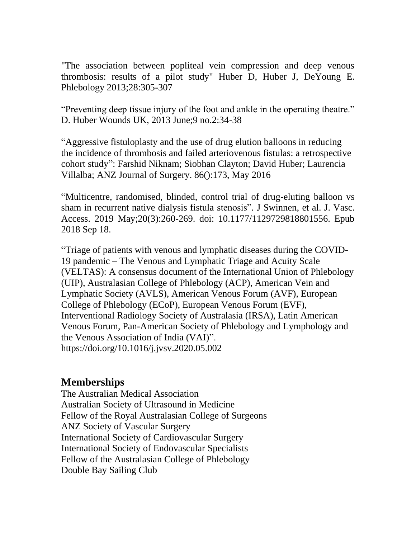"The association between popliteal vein compression and deep venous thrombosis: results of a pilot study" Huber D, Huber J, DeYoung E. Phlebology 2013;28:305-307

"Preventing deep tissue injury of the foot and ankle in the operating theatre." D. Huber Wounds UK, 2013 June;9 no.2:34-38

"Aggressive fistuloplasty and the use of drug elution balloons in reducing the incidence of thrombosis and failed arteriovenous fistulas: a retrospective cohort study": Farshid Niknam; Siobhan Clayton; David Huber; Laurencia Villalba; ANZ Journal of Surgery. 86():173, May 2016

"Multicentre, randomised, blinded, control trial of drug-eluting balloon vs sham in recurrent native dialysis fistula stenosis". J Swinnen, et al. J. Vasc. Access. 2019 May;20(3):260-269. doi: 10.1177/1129729818801556. Epub 2018 Sep 18.

"Triage of patients with venous and lymphatic diseases during the COVID-19 pandemic – The Venous and Lymphatic Triage and Acuity Scale (VELTAS): A consensus document of the International Union of Phlebology (UIP), Australasian College of Phlebology (ACP), American Vein and Lymphatic Society (AVLS), American Venous Forum (AVF), European College of Phlebology (ECoP), European Venous Forum (EVF), Interventional Radiology Society of Australasia (IRSA), Latin American Venous Forum, Pan-American Society of Phlebology and Lymphology and the Venous Association of India (VAI)". <https://doi.org/10.1016/j.jvsv.2020.05.002>

### **Memberships**

The Australian Medical Association Australian Society of Ultrasound in Medicine Fellow of the Royal Australasian College of Surgeons ANZ Society of Vascular Surgery International Society of Cardiovascular Surgery International Society of Endovascular Specialists Fellow of the Australasian College of Phlebology Double Bay Sailing Club